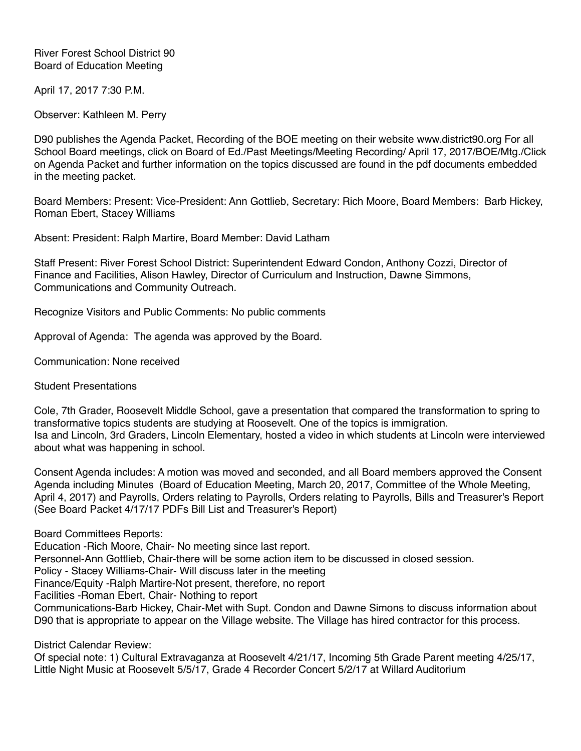River Forest School District 90 Board of Education Meeting

April 17, 2017 7:30 P.M.

Observer: Kathleen M. Perry

D90 publishes the Agenda Packet, Recording of the BOE meeting on their website www.district90.org For all School Board meetings, click on Board of Ed./Past Meetings/Meeting Recording/ April 17, 2017/BOE/Mtg./Click on Agenda Packet and further information on the topics discussed are found in the pdf documents embedded in the meeting packet.

Board Members: Present: Vice-President: Ann Gottlieb, Secretary: Rich Moore, Board Members: Barb Hickey, Roman Ebert, Stacey Williams

Absent: President: Ralph Martire, Board Member: David Latham

Staff Present: River Forest School District: Superintendent Edward Condon, Anthony Cozzi, Director of Finance and Facilities, Alison Hawley, Director of Curriculum and Instruction, Dawne Simmons, Communications and Community Outreach.

Recognize Visitors and Public Comments: No public comments

Approval of Agenda: The agenda was approved by the Board.

Communication: None received

Student Presentations

Cole, 7th Grader, Roosevelt Middle School, gave a presentation that compared the transformation to spring to transformative topics students are studying at Roosevelt. One of the topics is immigration. Isa and Lincoln, 3rd Graders, Lincoln Elementary, hosted a video in which students at Lincoln were interviewed about what was happening in school.

Consent Agenda includes: A motion was moved and seconded, and all Board members approved the Consent Agenda including Minutes (Board of Education Meeting, March 20, 2017, Committee of the Whole Meeting, April 4, 2017) and Payrolls, Orders relating to Payrolls, Orders relating to Payrolls, Bills and Treasurer's Report (See Board Packet 4/17/17 PDFs Bill List and Treasurer's Report)

Board Committees Reports:

Education -Rich Moore, Chair- No meeting since last report.

Personnel-Ann Gottlieb, Chair-there will be some action item to be discussed in closed session.

Policy - Stacey Williams-Chair- Will discuss later in the meeting

Finance/Equity -Ralph Martire-Not present, therefore, no report

Facilities -Roman Ebert, Chair- Nothing to report

Communications-Barb Hickey, Chair-Met with Supt. Condon and Dawne Simons to discuss information about D90 that is appropriate to appear on the Village website. The Village has hired contractor for this process.

District Calendar Review:

Of special note: 1) Cultural Extravaganza at Roosevelt 4/21/17, Incoming 5th Grade Parent meeting 4/25/17, Little Night Music at Roosevelt 5/5/17, Grade 4 Recorder Concert 5/2/17 at Willard Auditorium